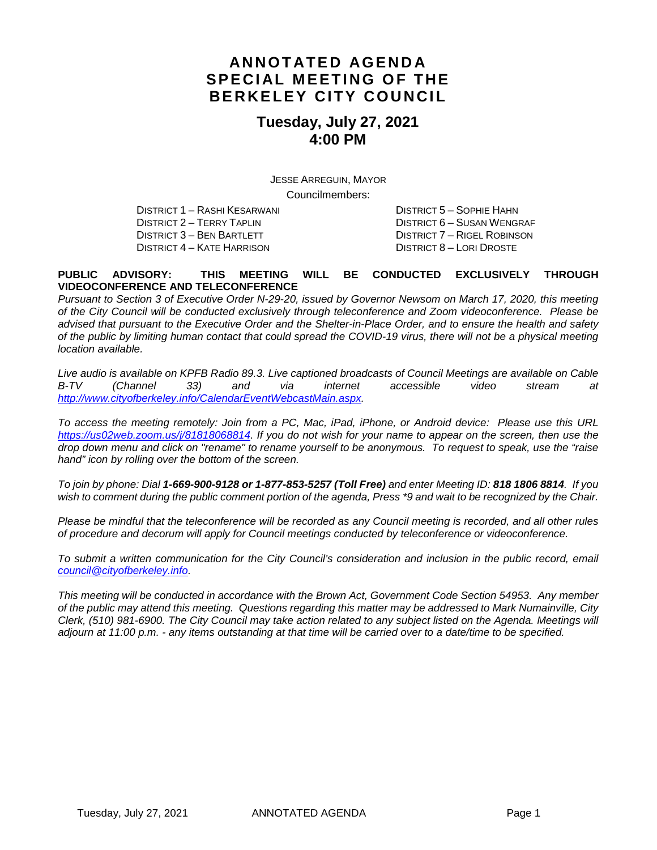### **ANNOTATED AGENDA SPECIAL MEETING OF THE BERKELEY CITY COUNCIL**

### **Tuesday, July 27, 2021 4:00 PM**

JESSE ARREGUIN, MAYOR Councilmembers:

DISTRICT 1 – RASHI KESARWANI DISTRICT 5 – SOPHIE HAHN DISTRICT 3 – BEN BARTLETT DISTRICT 7 – RIGEL ROBINSON DISTRICT 4 – KATE HARRISON DISTRICT 8 – LORI DROSTE

DISTRICT 6 – SUSAN WENGRAF

#### **PUBLIC ADVISORY: THIS MEETING WILL BE CONDUCTED EXCLUSIVELY THROUGH VIDEOCONFERENCE AND TELECONFERENCE**

*Pursuant to Section 3 of Executive Order N-29-20, issued by Governor Newsom on March 17, 2020, this meeting of the City Council will be conducted exclusively through teleconference and Zoom videoconference. Please be advised that pursuant to the Executive Order and the Shelter-in-Place Order, and to ensure the health and safety of the public by limiting human contact that could spread the COVID-19 virus, there will not be a physical meeting location available.* 

*Live audio is available on KPFB Radio 89.3. Live captioned broadcasts of Council Meetings are available on Cable B-TV (Channel 33) and via internet accessible video stream at [http://www.cityofberkeley.info/CalendarEventWebcastMain.aspx.](http://www.cityofberkeley.info/CalendarEventWebcastMain.aspx)*

*To access the meeting remotely: Join from a PC, Mac, iPad, iPhone, or Android device: Please use this URL [https://us02web.zoom.us/j/81818068814.](https://us02web.zoom.us/j/81818068814) If you do not wish for your name to appear on the screen, then use the drop down menu and click on "rename" to rename yourself to be anonymous. To request to speak, use the "raise hand" icon by rolling over the bottom of the screen.* 

*To join by phone: Dial 1-669-900-9128 or 1-877-853-5257 (Toll Free) and enter Meeting ID: 818 1806 8814. If you*  wish to comment during the public comment portion of the agenda, Press \*9 and wait to be recognized by the Chair.

*Please be mindful that the teleconference will be recorded as any Council meeting is recorded, and all other rules of procedure and decorum will apply for Council meetings conducted by teleconference or videoconference.*

To submit a written communication for the City Council's consideration and inclusion in the public record, email *[council@cityofberkeley.info.](mailto:council@cityofberkeley.info)*

*This meeting will be conducted in accordance with the Brown Act, Government Code Section 54953. Any member of the public may attend this meeting. Questions regarding this matter may be addressed to Mark Numainville, City Clerk, (510) 981-6900. The City Council may take action related to any subject listed on the Agenda. Meetings will adjourn at 11:00 p.m. - any items outstanding at that time will be carried over to a date/time to be specified.*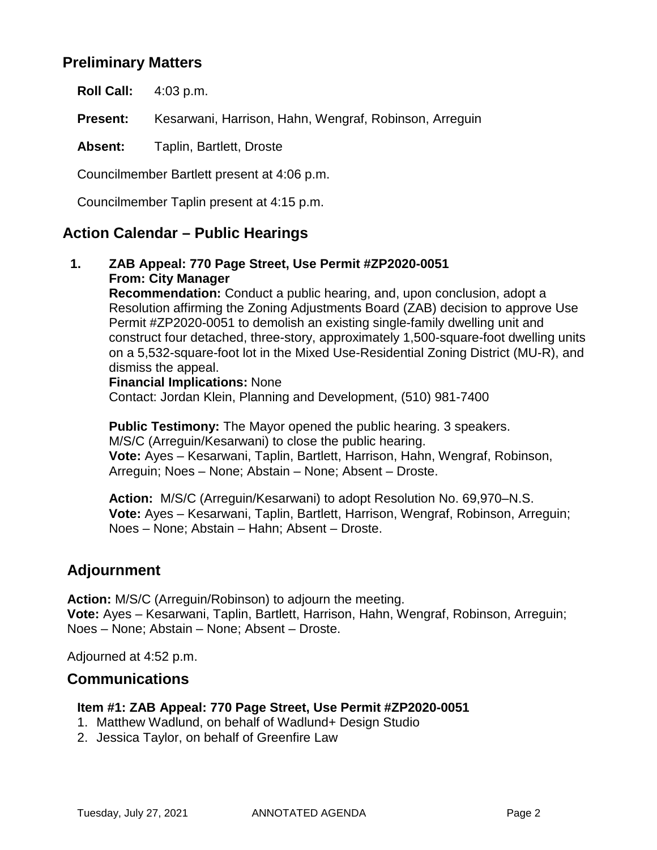### **Preliminary Matters**

**Roll Call:** 4:03 p.m.

**Present:** Kesarwani, Harrison, Hahn, Wengraf, Robinson, Arreguin

**Absent:** Taplin, Bartlett, Droste

Councilmember Bartlett present at 4:06 p.m.

Councilmember Taplin present at 4:15 p.m.

### **Action Calendar – Public Hearings**

**1. ZAB Appeal: 770 Page Street, Use Permit #ZP2020-0051 From: City Manager**

> **Recommendation:** Conduct a public hearing, and, upon conclusion, adopt a Resolution affirming the Zoning Adjustments Board (ZAB) decision to approve Use Permit #ZP2020-0051 to demolish an existing single-family dwelling unit and construct four detached, three-story, approximately 1,500-square-foot dwelling units on a 5,532-square-foot lot in the Mixed Use-Residential Zoning District (MU-R), and dismiss the appeal.

#### **Financial Implications:** None

Contact: Jordan Klein, Planning and Development, (510) 981-7400

**Public Testimony:** The Mayor opened the public hearing. 3 speakers. M/S/C (Arreguin/Kesarwani) to close the public hearing. **Vote:** Ayes – Kesarwani, Taplin, Bartlett, Harrison, Hahn, Wengraf, Robinson, Arreguin; Noes – None; Abstain – None; Absent – Droste.

**Action:** M/S/C (Arreguin/Kesarwani) to adopt Resolution No. 69,970–N.S. **Vote:** Ayes – Kesarwani, Taplin, Bartlett, Harrison, Wengraf, Robinson, Arreguin; Noes – None; Abstain – Hahn; Absent – Droste.

### **Adjournment**

**Action:** M/S/C (Arreguin/Robinson) to adjourn the meeting. **Vote:** Ayes – Kesarwani, Taplin, Bartlett, Harrison, Hahn, Wengraf, Robinson, Arreguin; Noes – None; Abstain – None; Absent – Droste.

Adjourned at 4:52 p.m.

### **Communications**

#### **Item #1: ZAB Appeal: 770 Page Street, Use Permit #ZP2020-0051**

- 1. Matthew Wadlund, on behalf of Wadlund+ Design Studio
- 2. Jessica Taylor, on behalf of Greenfire Law